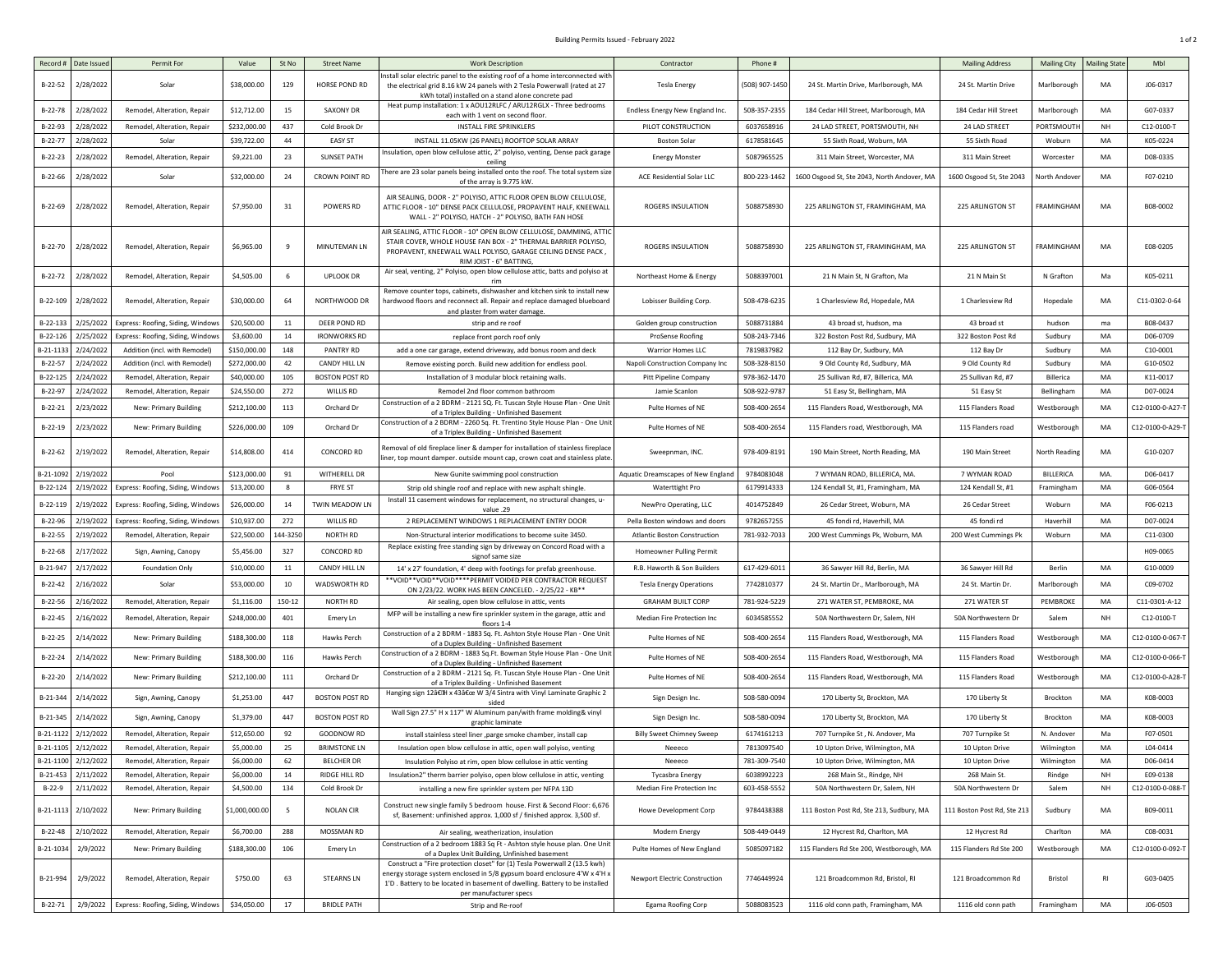## Building Permits Issued - February 2022 2008 1 of 2 0 0 1 of 2 0 1 of 2 0 1 of 2 0 1 of 2 0 1 of 2 0 1 of 2 0 1 of 2 0 1 of 2 0 1 of 2 0 1 of 2 0 1 of 2 0 1 of 2 0 1 of 2 0 1 of 2 0 1 of 2 0 1 of 2 0 1 of 2 0 1 of 2 0 1 of

| Record #       | Date Issue | Permit For                                         | Value          | St No  | <b>Street Name</b>    | <b>Work Description</b>                                                                                                                                                                                                                                        | Contractor                          | Phone #        |                                             | <b>Mailing Address</b>      | <b>Mailing City</b> | <b>Mailing Stat</b> | Mbl              |
|----------------|------------|----------------------------------------------------|----------------|--------|-----------------------|----------------------------------------------------------------------------------------------------------------------------------------------------------------------------------------------------------------------------------------------------------------|-------------------------------------|----------------|---------------------------------------------|-----------------------------|---------------------|---------------------|------------------|
| B-22-52        | 2/28/2022  | Solar                                              | \$38,000.00    | 129    | HORSE POND RD         | nstall solar electric panel to the existing roof of a home interconnected witl<br>the electrical grid 8.16 kW 24 panels with 2 Tesla Powerwall (rated at 27<br>kWh total) installed on a stand alone concrete pad                                              | <b>Tesla Energy</b>                 | (508) 907-1450 | 24 St. Martin Drive, Marlborough, MA        | 24 St. Martin Drive         | Marlborough         | MA                  | J06-0317         |
| B-22-78        | 2/28/2022  | Remodel, Alteration, Repair                        | \$12,712.00    | 15     | SAXONY DR             | Heat pump installation: 1 x AOU12RLFC / ARU12RGLX - Three bedrooms<br>each with 1 vent on second floor.                                                                                                                                                        | Endless Energy New England Inc.     | 508-357-2355   | 184 Cedar Hill Street, Marlborough, MA      | 184 Cedar Hill Street       | Marlborough         | MA                  | G07-0337         |
| B-22-93        | 2/28/2022  | Remodel, Alteration, Repair                        | \$232,000.00   | 437    | Cold Brook Dr         | INSTALL FIRE SPRINKLERS                                                                                                                                                                                                                                        | PILOT CONSTRUCTION                  | 6037658916     | 24 LAD STREET, PORTSMOUTH, NH               | 24 LAD STREET               | PORTSMOUT           | NH                  | C12-0100-T       |
| B-22-77        | 2/28/2022  | Solar                                              | \$39,722.00    | 44     | <b>EASY ST</b>        | INSTALL 11.05KW (26 PANEL) ROOFTOP SOLAR ARRAY                                                                                                                                                                                                                 | <b>Boston Solar</b>                 | 6178581645     | 55 Sixth Road, Woburn, MA                   | 55 Sixth Road               | Woburn              | MA                  | K05-0224         |
| B-22-23        | 2/28/2022  | Remodel, Alteration, Repair                        | \$9,221.00     | 23     | <b>SUNSET PATH</b>    | Insulation, open blow cellulose attic, 2" polyiso, venting, Dense pack garage<br>ceiling                                                                                                                                                                       | <b>Energy Monster</b>               | 5087965525     | 311 Main Street, Worcester, MA              | 311 Main Street             | Worcester           | MA                  | D08-0335         |
| B-22-66        | 2/28/2022  | Solar                                              | \$32,000.00    | 24     | CROWN POINT RD        | There are 23 solar panels being installed onto the roof. The total system size<br>of the array is 9.775 kW.                                                                                                                                                    | ACE Residential Solar LLC           | 800-223-1462   | 1600 Osgood St, Ste 2043, North Andover, MA | 1600 Osgood St, Ste 2043    | North Andov         | MA                  | F07-0210         |
| B-22-69        | 2/28/2022  | Remodel, Alteration, Repair                        | \$7,950.00     | 31     | POWERS RD             | AIR SEALING, DOOR - 2" POLYISO, ATTIC FLOOR OPEN BLOW CELLULOSE<br>ATTIC FLOOR - 10" DENSE PACK CELLULOSE, PROPAVENT HALF, KNEEWALL<br>WALL - 2" POLYISO, HATCH - 2" POLYISO, BATH FAN HOSE                                                                    | ROGERS INSULATION                   | 5088758930     | 225 ARLINGTON ST, FRAMINGHAM, MA            | 225 ARLINGTON ST            | FRAMINGHAM          | MA                  | B08-0002         |
| B-22-70        | 2/28/2022  | Remodel, Alteration, Repair                        | \$6,965.00     | 9      | MINUTEMAN LN          | AIR SEALING, ATTIC FLOOR - 10" OPEN BLOW CELLULOSE, DAMMING, ATT<br>STAIR COVER, WHOLE HOUSE FAN BOX - 2" THERMAL BARRIER POLYISO,<br>PROPAVENT, KNEEWALL WALL POLYISO, GARAGE CEILING DENSE PACK<br>RIM JOIST - 6" BATTING,                                   | ROGERS INSULATION                   | 5088758930     | 225 ARLINGTON ST, FRAMINGHAM, MA            | 225 ARLINGTON ST            | FRAMINGHAM          | MA                  | E08-0205         |
| B-22-72        | 2/28/2022  | Remodel, Alteration, Repair                        | \$4,505.00     | 6      | <b>UPLOOK DR</b>      | Air seal, venting, 2" Polyiso, open blow cellulose attic, batts and polyiso at                                                                                                                                                                                 | Northeast Home & Energy             | 5088397001     | 21 N Main St, N Grafton, Ma                 | 21 N Main St                | N Grafton           | Ma                  | K05-0211         |
| B-22-109       | 2/28/2022  | Remodel, Alteration, Repair                        | \$30,000.00    | 64     | NORTHWOOD DR          | Remove counter tops, cabinets, dishwasher and kitchen sink to install nev<br>hardwood floors and reconnect all. Repair and replace damaged blueboard<br>and plaster from water damage.                                                                         | Lobisser Building Corp.             | 508-478-6235   | 1 Charlesview Rd, Hopedale, MA              | 1 Charlesview Rd            | Hopedale            | MA                  | C11-0302-0-64    |
| B-22-133       | 2/25/2022  | Express: Roofing, Siding, Window                   | \$20,500.00    | 11     | DEER POND RD          | strip and re roof                                                                                                                                                                                                                                              | Golden group construction           | 5088731884     | 43 broad st, hudson, ma                     | 43 broad st                 | hudson              | ma                  | B08-0437         |
| B-22-126       | 2/25/2022  | Express: Roofing, Siding, Window                   | \$3,600.00     | 14     | <b>IRONWORKS RD</b>   | replace front porch roof only                                                                                                                                                                                                                                  | ProSense Roofing                    | 508-243-7346   | 322 Boston Post Rd, Sudbury, MA             | 322 Boston Post Rd          | Sudbury             | MA                  | D06-0709         |
| $3 - 21 - 113$ | 2/24/2022  | Addition (incl. with Remodel)                      | \$150,000.00   | 148    | PANTRY RD             | add a one car garage, extend driveway, add bonus room and deck                                                                                                                                                                                                 | <b>Warrior Homes LLC</b>            | 7819837982     | 112 Bay Dr, Sudbury, MA                     | 112 Bay Dr                  | Sudbury             | MA                  | C10-0001         |
| $B-22-57$      | 2/24/2022  | Addition (incl. with Remodel)                      | \$272,000.00   | 42     | CANDY HILL LN         | Remove existing porch. Build new addition for endless pool.                                                                                                                                                                                                    | Napoli Construction Company Inc     | 508-328-8150   | 9 Old County Rd, Sudbury, MA                | 9 Old County Rd             | Sudbury             | MA                  | G10-0502         |
| B-22-125       | 2/24/2022  | Remodel, Alteration, Repair                        | \$40,000.00    | 105    | <b>BOSTON POST RD</b> | Installation of 3 modular block retaining walls.                                                                                                                                                                                                               | Pitt Pipeline Company               | 978-362-1470   | 25 Sullivan Rd, #7, Billerica, MA           | 25 Sullivan Rd, #7          | Billerica           | MA                  | K11-0017         |
| B-22-97        | 2/24/2022  | Remodel, Alteration, Repair                        | \$24,550.00    | 272    | WILLIS RD             | Remodel 2nd floor common bathroom                                                                                                                                                                                                                              | Jamie Scanlon                       | 508-922-9787   | 51 Easy St, Bellingham, MA                  | 51 Easy St                  | Bellingham          | MA                  | D07-0024         |
| $B-22-21$      | 2/23/2022  | New: Primary Building                              | \$212,100.00   | 113    | Orchard Dr            | Construction of a 2 BDRM - 2121 SQ. Ft. Tuscan Style House Plan - One Unit<br>of a Triplex Building - Unfinished Basement                                                                                                                                      | Pulte Homes of NE                   | 508-400-2654   | 115 Flanders Road, Westborough, MA          | 115 Flanders Road           | Westborough         | MA                  | C12-0100-0-A27-T |
| B-22-19        | 2/23/2022  | New: Primary Building                              | \$226,000.00   | 109    | Orchard Dr            | Construction of a 2 BDRM - 2260 Sq. Ft. Trentino Style House Plan - One Unit<br>of a Triplex Building - Unfinished Basement                                                                                                                                    | Pulte Homes of NE                   | 508-400-2654   | 115 Flanders road, Westborough, MA          | 115 Flanders road           | Westborough         | MA                  | C12-0100-0-A29-T |
| B-22-62        | 2/19/2022  | Remodel, Alteration, Repair                        | \$14,808.00    | 414    | CONCORD RD            | Removal of old fireplace liner & damper for installation of stainless fireplace<br>iner, top mount damper. outside mount cap, crown coat and stainless plate                                                                                                   | Sweepnman, INC.                     | 978-409-8191   | 190 Main Street, North Reading, MA          | 190 Main Street             | North Reading       | MA                  | G10-0207         |
| 3-21-109       | 2/19/2022  | Pool                                               | \$123,000.00   | 91     | WITHERELL DR          | New Gunite swimming pool construction                                                                                                                                                                                                                          | Aquatic Dreamscapes of New England  | 9784083048     | 7 WYMAN ROAD, BILLERICA, MA                 | 7 WYMAN ROAD                | BILLERICA           | MA                  | D06-0417         |
| B-22-124       | 2/19/2022  | Express: Roofing, Siding, Windows                  | \$13,200.00    | 8      | <b>FRYE ST</b>        | Strip old shingle roof and replace with new asphalt shingle                                                                                                                                                                                                    | <b>Waterttight Pro</b>              | 6179914333     | 124 Kendall St, #1, Framingham, MA          | 124 Kendall St, #1          | Framingham          | MA                  | G06-0564         |
| B-22-119       | 2/19/2022  | Express: Roofing, Siding, Window                   | \$26,000.00    | 14     | TWIN MEADOW LN        | Install 11 casement windows for replacement, no structural changes, u-<br>value .29                                                                                                                                                                            | NewPro Operating, LLC               | 4014752849     | 26 Cedar Street, Woburn, MA                 | 26 Cedar Street             | Woburn              | MA                  | F06-0213         |
| B-22-96        | 2/19/2022  | Express: Roofing, Siding, Window                   | \$10,937.00    | 272    | WILLIS RD             | 2 REPLACEMENT WINDOWS 1 REPLACEMENT ENTRY DOOR                                                                                                                                                                                                                 | Pella Boston windows and doors      | 9782657255     | 45 fondi rd, Haverhill, MA                  | 45 fondi rd                 | Haverhill           | MA                  | D07-0024         |
| $B-22-55$      | 2/19/2022  | Remodel, Alteration, Repair                        | \$22,500.00    | 44-325 | <b>NORTH RD</b>       | Non-Structural interior modifications to become suite 3450.                                                                                                                                                                                                    | <b>Atlantic Boston Construction</b> | 781-932-7033   | 200 West Cummings Pk, Woburn, MA            | 200 West Cummings Pk        | Woburn              | MA                  | C11-0300         |
| $B-22-68$      | 2/17/2022  | Sign, Awning, Canopy                               | \$5,456.00     | 327    | CONCORD RD            | Replace existing free standing sign by driveway on Concord Road with a<br>signof same size                                                                                                                                                                     | Homeowner Pulling Permit            |                |                                             |                             |                     |                     | H09-0065         |
| B-21-947       | 2/17/2022  | Foundation Only                                    | \$10,000.00    | 11     | CANDY HILL LN         | 14' x 27' foundation, 4' deep with footings for prefab greenhouse.                                                                                                                                                                                             | R.B. Haworth & Son Builders         | 617-429-601    | 36 Sawyer Hill Rd, Berlin, MA               | 36 Sawyer Hill Rd           | Berlin              | MA                  | G10-0009         |
| B-22-42        | 2/16/2022  | Solar                                              | \$53,000.00    | 10     | WADSWORTH RD          | **VOID**VOID**VOID****PERMIT VOIDED PER CONTRACTOR REQUEST<br>ON 2/23/22. WORK HAS BEEN CANCELED. - 2/25/22 - KB**                                                                                                                                             | <b>Tesla Energy Operations</b>      | 7742810377     | 24 St. Martin Dr., Marlborough, MA          | 24 St. Martin Dr.           | Marlborough         | MA                  | C09-0702         |
| B-22-56        | 2/16/2022  | Remodel, Alteration, Repair                        | \$1,116.00     | 150-12 | <b>NORTH RD</b>       | Air sealing, open blow cellulose in attic, vents                                                                                                                                                                                                               | <b>GRAHAM BUILT CORP</b>            | 781-924-5229   | 271 WATER ST, PEMBROKE, MA                  | 271 WATER ST                | PEMBROKE            | MA                  | C11-0301-A-12    |
| $B-22-45$      | 2/16/2022  | Remodel, Alteration, Repair                        | \$248,000.00   | 401    | Emery Ln              | MFP will be installing a new fire sprinkler system in the garage, attic and<br>floors 1-4                                                                                                                                                                      | Median Fire Protection Inc          | 6034585552     | 50A Northwestern Dr, Salem, NH              | 50A Northwestern Dr         | Salem               | NH                  | C12-0100-T       |
| $B-22-25$      | 2/14/2022  | New: Primary Building                              | \$188,300.00   | 118    | Hawks Perch           | Construction of a 2 BDRM - 1883 Sq. Ft. Ashton Style House Plan - One Unit<br>of a Duplex Building - Unfinished Basement                                                                                                                                       | Pulte Homes of NE                   | 508-400-2654   | 115 Flanders Road, Westborough, MA          | 115 Flanders Road           | Westboroug          | MA                  | C12-0100-0-067-1 |
| $B-22-24$      | 2/14/2022  | New: Primary Building                              | \$188,300.00   | 116    | Hawks Perch           | Construction of a 2 BDRM - 1883 Sq.Ft. Bowman Style House Plan - One Unit<br>of a Duplex Building - Unfinished Basement                                                                                                                                        | Pulte Homes of NE                   | 508-400-2654   | 115 Flanders Road, Westborough, MA          | 115 Flanders Road           | Westboroug          | MA                  | C12-0100-0-066-T |
| B-22-20        | 2/14/2022  | New: Primary Building                              | \$212,100.00   | 111    | Orchard Dr            | Construction of a 2 BDRM - 2121 Sq. Ft. Tuscan Style House Plan - One Unit<br>of a Triplex Building - Unfinished Basement                                                                                                                                      | Pulte Homes of NE                   | 508-400-2654   | 115 Flanders Road, Westborough, MA          | 115 Flanders Road           | Westboroug          | MA                  | C12-0100-0-A28-T |
| B-21-344       | 2/14/2022  | Sign, Awning, Canopy                               | \$1,253.00     | 447    | <b>BOSTON POST RD</b> | Hanging sign 12†H x 43" W 3/4 Sintra with Vinyl Laminate Graphic 2                                                                                                                                                                                             | Sign Design Inc.                    | 508-580-0094   | 170 Liberty St, Brockton, MA                | 170 Liberty St              | Brockton            | MA                  | K08-0003         |
| B-21-345       | 2/14/2022  | Sign, Awning, Canopy                               | \$1,379.00     | 447    | <b>BOSTON POST RD</b> | Wall Sign 27.5" H x 117" W Aluminum pan/with frame molding& vinyl<br>graphic laminate                                                                                                                                                                          | Sign Design Inc.                    | 508-580-0094   | 170 Liberty St, Brockton, MA                | 170 Liberty St              | Brockton            | MA                  | K08-0003         |
| B-21-1122      | 2/12/2022  | Remodel, Alteration, Repair                        | \$12,650.00    | 92     | GOODNOW RD            | install stainless steel liner , parge smoke chamber, install cap                                                                                                                                                                                               | <b>Billy Sweet Chimney Sweep</b>    | 6174161213     | 707 Turnpike St, N. Andover, Ma             | 707 Turnpike St             | N. Andover          | Ma                  | F07-0501         |
| B-21-1105      | 2/12/2022  | Remodel, Alteration, Repair                        | \$5,000.00     | 25     | <b>BRIMSTONE LN</b>   | Insulation open blow cellulose in attic, open wall polyiso, venting                                                                                                                                                                                            | Neeeco                              | 7813097540     | 10 Upton Drive, Wilmington, MA              | 10 Upton Drive              | Wilmington          | MA                  | L04-0414         |
| B-21-1100      | 2/12/2022  | Remodel, Alteration, Repair                        | \$6,000.00     | 62     | <b>BELCHER DR</b>     | Insulation Polyiso at rim, open blow cellulose in attic venting                                                                                                                                                                                                | Neeeco                              | 781-309-7540   | 10 Upton Drive, Wilmington, MA              | 10 Upton Drive              | Wilmington          | MA                  | D06-0414         |
| B-21-453       | 2/11/2022  | Remodel, Alteration, Repair                        | \$6,000.00     | 14     | RIDGE HILL RD         | Insulation2" therm barrier polyiso, open blow cellulose in attic, venting                                                                                                                                                                                      | <b>Tycasbra Energy</b>              | 6038992223     | 268 Main St., Rindge, NH                    | 268 Main St.                | Rindge              | NH                  | E09-0138         |
| $B-22-9$       | 2/11/2022  | Remodel, Alteration, Repair                        | \$4,500.00     | 134    | Cold Brook Dr         | installing a new fire sprinkler system per NFPA 13D                                                                                                                                                                                                            | Median Fire Protection Inc          | 603-458-5552   | 50A Northwestern Dr, Salem, NH              | 50A Northwestern Dr         | Salem               | NH                  | C12-0100-0-088-  |
| B-21-1113      | 2/10/2022  | New: Primary Building                              | \$1,000,000.00 | 5      | <b>NOLAN CIR</b>      | Construct new single family 5 bedroom house. First & Second Floor: 6,676<br>sf, Basement: unfinished approx. 1,000 sf / finished approx. 3,500 sf.                                                                                                             | <b>Howe Development Corp</b>        | 9784438388     | 111 Boston Post Rd, Ste 213, Sudbury, MA    | 111 Boston Post Rd, Ste 213 | Sudbury             | MA                  | B09-0011         |
| $B-22-48$      | 2/10/2022  | Remodel, Alteration, Repair                        | \$6,700.00     | 288    | MOSSMAN RD            | Air sealing, weatherization, insulation                                                                                                                                                                                                                        | Modern Energy                       | 508-449-0449   | 12 Hycrest Rd, Charlton, MA                 | 12 Hycrest Rd               | Charlton            | MA                  | C08-0031         |
| B-21-1034      | 2/9/2022   | New: Primary Building                              | \$188,300.00   | 106    | Emery Ln              | Construction of a 2 bedroom 1883 Sq Ft - Ashton style house plan. One Unit<br>of a Duplex Unit Building, Unfinished basement                                                                                                                                   | Pulte Homes of New England          | 5085097182     | 115 Flanders Rd Ste 200, Westborough, MA    | 115 Flanders Rd Ste 200     | Westborough         | MA                  | C12-0100-0-092-  |
| B-21-994       | 2/9/2022   | Remodel, Alteration, Repair                        | \$750.00       | 63     | <b>STEARNS LN</b>     | Construct a "Fire protection closet" for (1) Tesla Powerwall 2 (13.5 kwh)<br>energy storage system enclosed in 5/8 gypsum board enclosure 4'W x 4'H x<br>1'D. Battery to be located in basement of dwelling. Battery to be installed<br>per manufacturer specs | Newport Electric Construction       | 7746449924     | 121 Broadcommon Rd, Bristol, RI             | 121 Broadcommon Rd          | Bristol             | RI                  | G03-0405         |
|                |            | B-22-71 2/9/2022 Express: Roofing, Siding, Windows | \$34,050.00    | 17     | <b>BRIDLE PATH</b>    | Strip and Re-roof                                                                                                                                                                                                                                              | Egama Roofing Corp                  | 5088083523     | 1116 old conn path, Framingham, MA          | 1116 old conn path          | Framingham          | MA                  | J06-0503         |